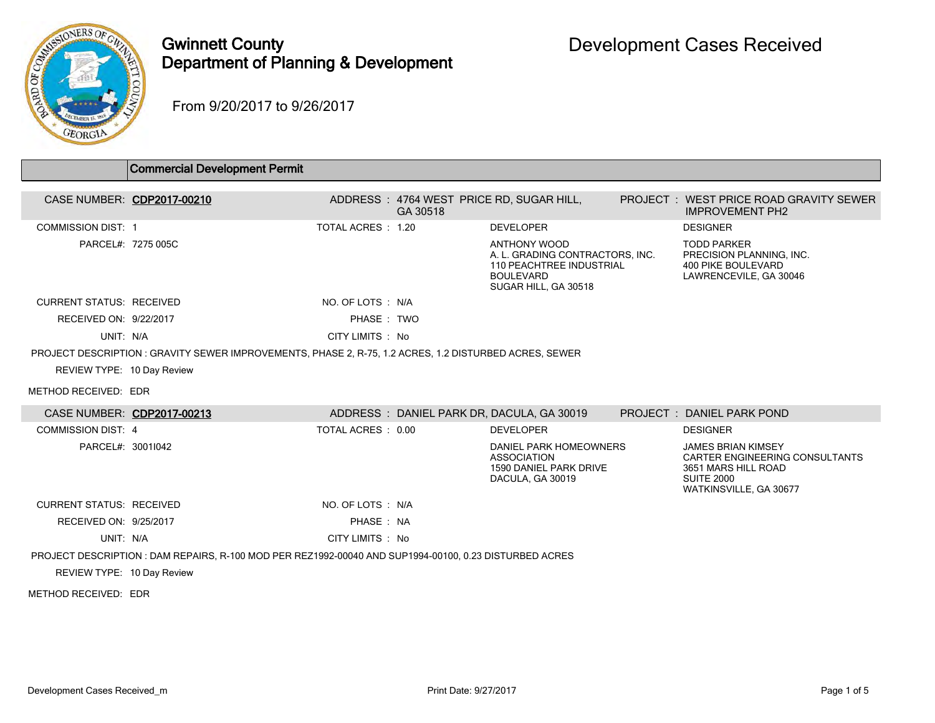

## Gwinnett County Department of Planning & Development

From 9/20/2017 to 9/26/2017

|                                 | <b>Commercial Development Permit</b>                                                                   |                   |          |                                                                                                                                |                                                                                                                                          |
|---------------------------------|--------------------------------------------------------------------------------------------------------|-------------------|----------|--------------------------------------------------------------------------------------------------------------------------------|------------------------------------------------------------------------------------------------------------------------------------------|
|                                 |                                                                                                        |                   |          |                                                                                                                                |                                                                                                                                          |
|                                 | CASE NUMBER: CDP2017-00210                                                                             |                   | GA 30518 | ADDRESS: 4764 WEST PRICE RD, SUGAR HILL,                                                                                       | PROJECT: WEST PRICE ROAD GRAVITY SEWER<br><b>IMPROVEMENT PH2</b>                                                                         |
| <b>COMMISSION DIST: 1</b>       |                                                                                                        | TOTAL ACRES: 1.20 |          | <b>DEVELOPER</b>                                                                                                               | <b>DESIGNER</b>                                                                                                                          |
|                                 | PARCEL#: 7275 005C                                                                                     |                   |          | ANTHONY WOOD<br>A. L. GRADING CONTRACTORS, INC.<br><b>110 PEACHTREE INDUSTRIAL</b><br><b>BOULEVARD</b><br>SUGAR HILL, GA 30518 | <b>TODD PARKER</b><br>PRECISION PLANNING, INC.<br><b>400 PIKE BOULEVARD</b><br>LAWRENCEVILE, GA 30046                                    |
| <b>CURRENT STATUS: RECEIVED</b> |                                                                                                        | NO. OF LOTS: N/A  |          |                                                                                                                                |                                                                                                                                          |
| RECEIVED ON: 9/22/2017          |                                                                                                        | PHASE: TWO        |          |                                                                                                                                |                                                                                                                                          |
| UNIT: N/A                       |                                                                                                        | CITY LIMITS: No   |          |                                                                                                                                |                                                                                                                                          |
|                                 | PROJECT DESCRIPTION : GRAVITY SEWER IMPROVEMENTS, PHASE 2, R-75, 1.2 ACRES, 1.2 DISTURBED ACRES, SEWER |                   |          |                                                                                                                                |                                                                                                                                          |
| REVIEW TYPE: 10 Day Review      |                                                                                                        |                   |          |                                                                                                                                |                                                                                                                                          |
| METHOD RECEIVED: EDR            |                                                                                                        |                   |          |                                                                                                                                |                                                                                                                                          |
|                                 | CASE NUMBER: CDP2017-00213                                                                             |                   |          | ADDRESS: DANIEL PARK DR, DACULA, GA 30019                                                                                      | PROJECT: DANIEL PARK POND                                                                                                                |
| COMMISSION DIST 4               |                                                                                                        | TOTAL ACRES: 0.00 |          | <b>DEVELOPER</b>                                                                                                               | <b>DESIGNER</b>                                                                                                                          |
| PARCEL#: 3001I042               |                                                                                                        |                   |          | DANIEL PARK HOMEOWNERS<br><b>ASSOCIATION</b><br>1590 DANIEL PARK DRIVE<br>DACULA, GA 30019                                     | <b>JAMES BRIAN KIMSEY</b><br><b>CARTER ENGINEERING CONSULTANTS</b><br>3651 MARS HILL ROAD<br><b>SUITE 2000</b><br>WATKINSVILLE, GA 30677 |
| <b>CURRENT STATUS: RECEIVED</b> |                                                                                                        | NO. OF LOTS: N/A  |          |                                                                                                                                |                                                                                                                                          |
| RECEIVED ON: 9/25/2017          |                                                                                                        | PHASE: NA         |          |                                                                                                                                |                                                                                                                                          |
| UNIT: N/A                       |                                                                                                        | CITY LIMITS : No  |          |                                                                                                                                |                                                                                                                                          |
|                                 | PROJECT DESCRIPTION : DAM REPAIRS, R-100 MOD PER REZ1992-00040 AND SUP1994-00100, 0.23 DISTURBED ACRES |                   |          |                                                                                                                                |                                                                                                                                          |
| REVIEW TYPE: 10 Day Review      |                                                                                                        |                   |          |                                                                                                                                |                                                                                                                                          |
| METHOD RECEIVED: EDR            |                                                                                                        |                   |          |                                                                                                                                |                                                                                                                                          |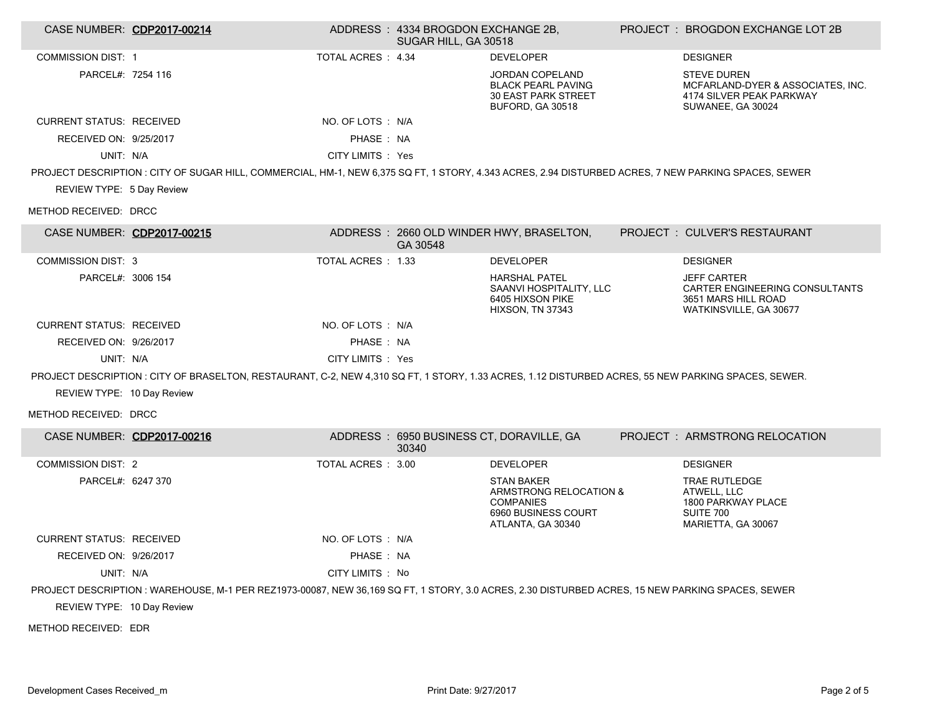| CASE NUMBER: CDP2017-00214      |                                                                                                                                                      |                    | ADDRESS: 4334 BROGDON EXCHANGE 2B,<br>SUGAR HILL, GA 30518 |                                                                                                             | PROJECT: BROGDON EXCHANGE LOT 2B                                                                         |
|---------------------------------|------------------------------------------------------------------------------------------------------------------------------------------------------|--------------------|------------------------------------------------------------|-------------------------------------------------------------------------------------------------------------|----------------------------------------------------------------------------------------------------------|
| <b>COMMISSION DIST: 1</b>       |                                                                                                                                                      | TOTAL ACRES : 4.34 |                                                            | <b>DEVELOPER</b>                                                                                            | <b>DESIGNER</b>                                                                                          |
| PARCEL#: 7254 116               |                                                                                                                                                      |                    |                                                            | JORDAN COPELAND<br><b>BLACK PEARL PAVING</b><br><b>30 EAST PARK STREET</b><br>BUFORD, GA 30518              | <b>STEVE DUREN</b><br>MCFARLAND-DYER & ASSOCIATES, INC.<br>4174 SILVER PEAK PARKWAY<br>SUWANEE, GA 30024 |
| <b>CURRENT STATUS: RECEIVED</b> |                                                                                                                                                      | NO. OF LOTS : N/A  |                                                            |                                                                                                             |                                                                                                          |
| RECEIVED ON: 9/25/2017          |                                                                                                                                                      | PHASE: NA          |                                                            |                                                                                                             |                                                                                                          |
| UNIT: N/A                       |                                                                                                                                                      | CITY LIMITS : Yes  |                                                            |                                                                                                             |                                                                                                          |
|                                 | PROJECT DESCRIPTION : CITY OF SUGAR HILL, COMMERCIAL, HM-1, NEW 6,375 SQ FT, 1 STORY, 4.343 ACRES, 2.94 DISTURBED ACRES, 7 NEW PARKING SPACES, SEWER |                    |                                                            |                                                                                                             |                                                                                                          |
| REVIEW TYPE: 5 Day Review       |                                                                                                                                                      |                    |                                                            |                                                                                                             |                                                                                                          |
| METHOD RECEIVED: DRCC           |                                                                                                                                                      |                    |                                                            |                                                                                                             |                                                                                                          |
| CASE NUMBER: CDP2017-00215      |                                                                                                                                                      |                    | GA 30548                                                   | ADDRESS: 2660 OLD WINDER HWY, BRASELTON,                                                                    | PROJECT: CULVER'S RESTAURANT                                                                             |
| <b>COMMISSION DIST: 3</b>       |                                                                                                                                                      | TOTAL ACRES: 1.33  |                                                            | <b>DEVELOPER</b>                                                                                            | <b>DESIGNER</b>                                                                                          |
| PARCEL#: 3006 154               |                                                                                                                                                      |                    |                                                            | <b>HARSHAL PATEL</b><br>SAANVI HOSPITALITY, LLC<br>6405 HIXSON PIKE<br>HIXSON, TN 37343                     | <b>JEFF CARTER</b><br>CARTER ENGINEERING CONSULTANTS<br>3651 MARS HILL ROAD<br>WATKINSVILLE, GA 30677    |
| <b>CURRENT STATUS: RECEIVED</b> |                                                                                                                                                      | NO. OF LOTS : N/A  |                                                            |                                                                                                             |                                                                                                          |
| RECEIVED ON: 9/26/2017          |                                                                                                                                                      | PHASE: NA          |                                                            |                                                                                                             |                                                                                                          |
| UNIT: N/A                       |                                                                                                                                                      | CITY LIMITS : Yes  |                                                            |                                                                                                             |                                                                                                          |
|                                 | PROJECT DESCRIPTION: CITY OF BRASELTON, RESTAURANT, C-2, NEW 4,310 SQ FT, 1 STORY, 1.33 ACRES, 1.12 DISTURBED ACRES, 55 NEW PARKING SPACES, SEWER.   |                    |                                                            |                                                                                                             |                                                                                                          |
| REVIEW TYPE: 10 Day Review      |                                                                                                                                                      |                    |                                                            |                                                                                                             |                                                                                                          |
| METHOD RECEIVED: DRCC           |                                                                                                                                                      |                    |                                                            |                                                                                                             |                                                                                                          |
| CASE NUMBER: CDP2017-00216      |                                                                                                                                                      |                    | 30340                                                      | ADDRESS: 6950 BUSINESS CT, DORAVILLE, GA                                                                    | PROJECT: ARMSTRONG RELOCATION                                                                            |
| <b>COMMISSION DIST: 2</b>       |                                                                                                                                                      | TOTAL ACRES : 3.00 |                                                            | <b>DEVELOPER</b>                                                                                            | <b>DESIGNER</b>                                                                                          |
| PARCEL#: 6247 370               |                                                                                                                                                      |                    |                                                            | <b>STAN BAKER</b><br>ARMSTRONG RELOCATION &<br><b>COMPANIES</b><br>6960 BUSINESS COURT<br>ATLANTA, GA 30340 | <b>TRAE RUTLEDGE</b><br>ATWELL, LLC<br>1800 PARKWAY PLACE<br>SUITE 700<br>MARIETTA, GA 30067             |
| <b>CURRENT STATUS: RECEIVED</b> |                                                                                                                                                      | NO. OF LOTS : N/A  |                                                            |                                                                                                             |                                                                                                          |
| RECEIVED ON: 9/26/2017          |                                                                                                                                                      | PHASE: NA          |                                                            |                                                                                                             |                                                                                                          |
| UNIT: N/A                       |                                                                                                                                                      | CITY LIMITS : No   |                                                            |                                                                                                             |                                                                                                          |
|                                 | PROJECT DESCRIPTION: WAREHOUSE, M-1 PER REZ1973-00087, NEW 36,169 SQ FT, 1 STORY, 3.0 ACRES, 2.30 DISTURBED ACRES, 15 NEW PARKING SPACES, SEWER      |                    |                                                            |                                                                                                             |                                                                                                          |
| REVIEW TYPE: 10 Day Review      |                                                                                                                                                      |                    |                                                            |                                                                                                             |                                                                                                          |
| METHOD RECEIVED: EDR            |                                                                                                                                                      |                    |                                                            |                                                                                                             |                                                                                                          |
|                                 |                                                                                                                                                      |                    |                                                            |                                                                                                             |                                                                                                          |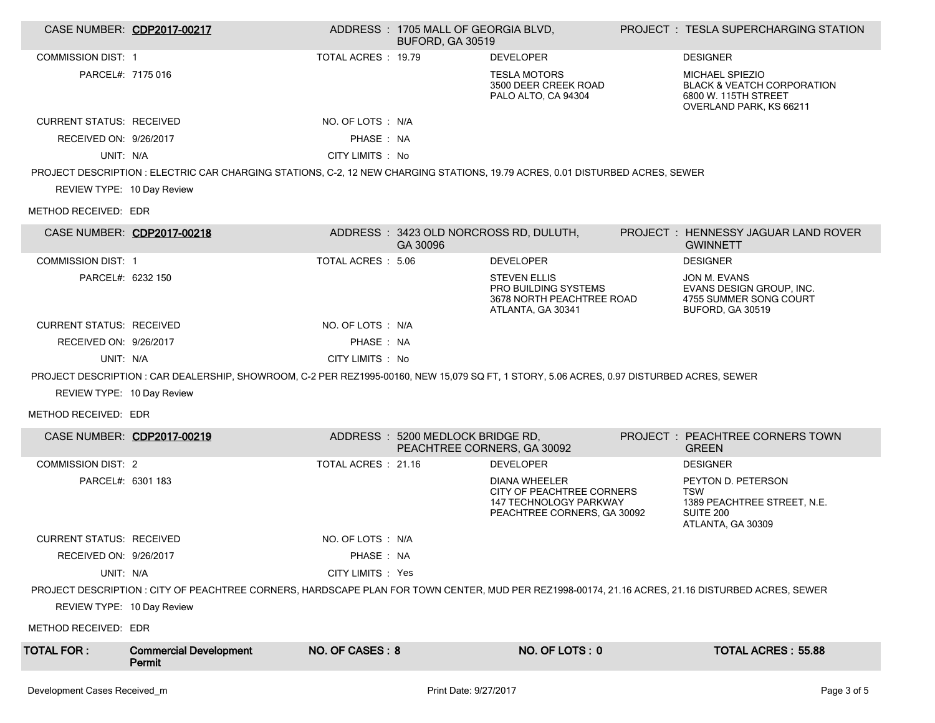|                                                                                                                                                   | CASE NUMBER: CDP2017-00217                                                                                                               |                     | ADDRESS: 1705 MALL OF GEORGIA BLVD.<br><b>BUFORD, GA 30519</b>  |                                                                                                                   |  | <b>PROJECT : TESLA SUPERCHARGING STATION</b>                                                                |  |
|---------------------------------------------------------------------------------------------------------------------------------------------------|------------------------------------------------------------------------------------------------------------------------------------------|---------------------|-----------------------------------------------------------------|-------------------------------------------------------------------------------------------------------------------|--|-------------------------------------------------------------------------------------------------------------|--|
| <b>COMMISSION DIST: 1</b>                                                                                                                         |                                                                                                                                          | TOTAL ACRES: 19.79  |                                                                 | <b>DEVELOPER</b>                                                                                                  |  | <b>DESIGNER</b>                                                                                             |  |
| PARCEL#: 7175 016                                                                                                                                 |                                                                                                                                          |                     |                                                                 | <b>TESLA MOTORS</b><br>3500 DEER CREEK ROAD<br>PALO ALTO, CA 94304                                                |  | MICHAEL SPIEZIO<br><b>BLACK &amp; VEATCH CORPORATION</b><br>6800 W. 115TH STREET<br>OVERLAND PARK, KS 66211 |  |
| <b>CURRENT STATUS: RECEIVED</b>                                                                                                                   |                                                                                                                                          | NO. OF LOTS : N/A   |                                                                 |                                                                                                                   |  |                                                                                                             |  |
| RECEIVED ON: 9/26/2017                                                                                                                            |                                                                                                                                          | PHASE: NA           |                                                                 |                                                                                                                   |  |                                                                                                             |  |
| UNIT: N/A                                                                                                                                         |                                                                                                                                          | CITY LIMITS : No    |                                                                 |                                                                                                                   |  |                                                                                                             |  |
|                                                                                                                                                   | PROJECT DESCRIPTION : ELECTRIC CAR CHARGING STATIONS, C-2, 12 NEW CHARGING STATIONS, 19.79 ACRES, 0.01 DISTURBED ACRES, SEWER            |                     |                                                                 |                                                                                                                   |  |                                                                                                             |  |
| REVIEW TYPE: 10 Day Review                                                                                                                        |                                                                                                                                          |                     |                                                                 |                                                                                                                   |  |                                                                                                             |  |
| METHOD RECEIVED: EDR                                                                                                                              |                                                                                                                                          |                     |                                                                 |                                                                                                                   |  |                                                                                                             |  |
|                                                                                                                                                   | CASE NUMBER: CDP2017-00218                                                                                                               |                     | GA 30096                                                        | ADDRESS : 3423 OLD NORCROSS RD, DULUTH,                                                                           |  | PROJECT : HENNESSY JAGUAR LAND ROVER<br><b>GWINNETT</b>                                                     |  |
| <b>COMMISSION DIST: 1</b>                                                                                                                         |                                                                                                                                          | TOTAL ACRES: 5.06   |                                                                 | <b>DEVELOPER</b>                                                                                                  |  | <b>DESIGNER</b>                                                                                             |  |
| PARCEL#: 6232 150                                                                                                                                 |                                                                                                                                          |                     |                                                                 | <b>STEVEN ELLIS</b><br>PRO BUILDING SYSTEMS<br>3678 NORTH PEACHTREE ROAD<br>ATLANTA, GA 30341                     |  | JON M. EVANS<br>EVANS DESIGN GROUP, INC.<br>4755 SUMMER SONG COURT<br>BUFORD, GA 30519                      |  |
| <b>CURRENT STATUS: RECEIVED</b>                                                                                                                   |                                                                                                                                          | NO. OF LOTS: N/A    |                                                                 |                                                                                                                   |  |                                                                                                             |  |
| RECEIVED ON: 9/26/2017                                                                                                                            |                                                                                                                                          | PHASE: NA           |                                                                 |                                                                                                                   |  |                                                                                                             |  |
| UNIT: N/A                                                                                                                                         |                                                                                                                                          | CITY LIMITS : No    |                                                                 |                                                                                                                   |  |                                                                                                             |  |
|                                                                                                                                                   | PROJECT DESCRIPTION: CAR DEALERSHIP, SHOWROOM, C-2 PER REZ1995-00160, NEW 15,079 SQ FT, 1 STORY, 5.06 ACRES, 0.97 DISTURBED ACRES, SEWER |                     |                                                                 |                                                                                                                   |  |                                                                                                             |  |
| REVIEW TYPE: 10 Day Review                                                                                                                        |                                                                                                                                          |                     |                                                                 |                                                                                                                   |  |                                                                                                             |  |
| METHOD RECEIVED: EDR                                                                                                                              |                                                                                                                                          |                     |                                                                 |                                                                                                                   |  |                                                                                                             |  |
|                                                                                                                                                   | CASE NUMBER: CDP2017-00219                                                                                                               |                     | ADDRESS: 5200 MEDLOCK BRIDGE RD,<br>PEACHTREE CORNERS, GA 30092 |                                                                                                                   |  | PROJECT : PEACHTREE CORNERS TOWN<br><b>GREEN</b>                                                            |  |
| <b>COMMISSION DIST: 2</b>                                                                                                                         |                                                                                                                                          | TOTAL ACRES : 21.16 |                                                                 | <b>DEVELOPER</b>                                                                                                  |  | <b>DESIGNER</b>                                                                                             |  |
| PARCEL#: 6301 183                                                                                                                                 |                                                                                                                                          |                     |                                                                 | <b>DIANA WHEELER</b><br>CITY OF PEACHTREE CORNERS<br><b>147 TECHNOLOGY PARKWAY</b><br>PEACHTREE CORNERS, GA 30092 |  | PEYTON D. PETERSON<br>TSW<br>1389 PEACHTREE STREET, N.E.<br>SUITE 200<br>ATLANTA, GA 30309                  |  |
| <b>CURRENT STATUS: RECEIVED</b>                                                                                                                   |                                                                                                                                          | NO. OF LOTS : N/A   |                                                                 |                                                                                                                   |  |                                                                                                             |  |
| RECEIVED ON: 9/26/2017                                                                                                                            |                                                                                                                                          | PHASE : NA          |                                                                 |                                                                                                                   |  |                                                                                                             |  |
| UNIT: N/A                                                                                                                                         |                                                                                                                                          | CITY LIMITS : Yes   |                                                                 |                                                                                                                   |  |                                                                                                             |  |
| PROJECT DESCRIPTION : CITY OF PEACHTREE CORNERS, HARDSCAPE PLAN FOR TOWN CENTER, MUD PER REZ1998-00174, 21.16 ACRES, 21.16 DISTURBED ACRES, SEWER |                                                                                                                                          |                     |                                                                 |                                                                                                                   |  |                                                                                                             |  |
| REVIEW TYPE: 10 Day Review                                                                                                                        |                                                                                                                                          |                     |                                                                 |                                                                                                                   |  |                                                                                                             |  |
| METHOD RECEIVED: EDR                                                                                                                              |                                                                                                                                          |                     |                                                                 |                                                                                                                   |  |                                                                                                             |  |
| <b>TOTAL FOR:</b>                                                                                                                                 | <b>Commercial Development</b><br>Permit                                                                                                  | NO. OF CASES: 8     |                                                                 | NO. OF LOTS: 0                                                                                                    |  | <b>TOTAL ACRES: 55.88</b>                                                                                   |  |
| Development Cases Received_m                                                                                                                      |                                                                                                                                          |                     | Print Date: 9/27/2017                                           |                                                                                                                   |  | Page 3 of 5                                                                                                 |  |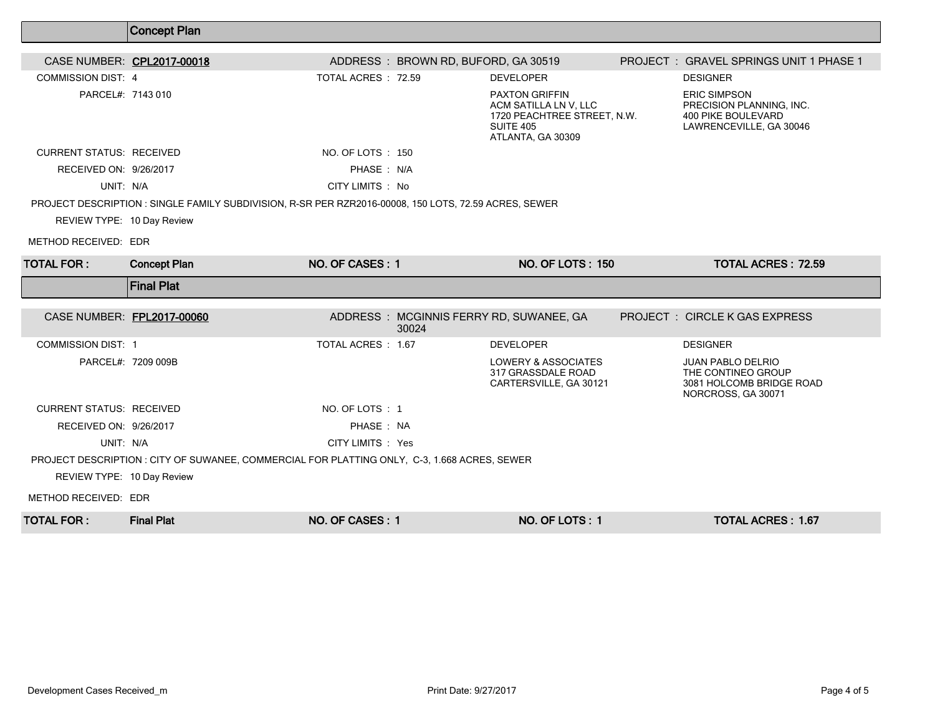|                                                    | <b>Concept Plan</b>                                                                                   |                    |                                     |                                                                                                                        |                                                                                                         |
|----------------------------------------------------|-------------------------------------------------------------------------------------------------------|--------------------|-------------------------------------|------------------------------------------------------------------------------------------------------------------------|---------------------------------------------------------------------------------------------------------|
| CASE NUMBER: CPL2017-00018                         |                                                                                                       |                    | ADDRESS: BROWN RD, BUFORD, GA 30519 |                                                                                                                        | PROJECT: GRAVEL SPRINGS UNIT 1 PHASE 1                                                                  |
| <b>COMMISSION DIST: 4</b>                          |                                                                                                       | TOTAL ACRES: 72.59 |                                     | <b>DEVELOPER</b>                                                                                                       | <b>DESIGNER</b>                                                                                         |
| PARCEL#: 7143 010                                  |                                                                                                       |                    |                                     | <b>PAXTON GRIFFIN</b><br>ACM SATILLA LN V, LLC<br>1720 PEACHTREE STREET, N.W.<br><b>SUITE 405</b><br>ATLANTA, GA 30309 | <b>ERIC SIMPSON</b><br>PRECISION PLANNING, INC.<br><b>400 PIKE BOULEVARD</b><br>LAWRENCEVILLE, GA 30046 |
| <b>CURRENT STATUS: RECEIVED</b>                    |                                                                                                       | NO. OF LOTS : 150  |                                     |                                                                                                                        |                                                                                                         |
| RECEIVED ON: 9/26/2017                             |                                                                                                       | PHASE: N/A         |                                     |                                                                                                                        |                                                                                                         |
| UNIT: N/A                                          |                                                                                                       | CITY LIMITS : No   |                                     |                                                                                                                        |                                                                                                         |
| REVIEW TYPE: 10 Day Review<br>METHOD RECEIVED: EDR | PROJECT DESCRIPTION : SINGLE FAMILY SUBDIVISION, R-SR PER RZR2016-00008, 150 LOTS, 72.59 ACRES, SEWER |                    |                                     |                                                                                                                        |                                                                                                         |
| <b>TOTAL FOR:</b>                                  | <b>Concept Plan</b>                                                                                   | NO. OF CASES: 1    |                                     | <b>NO. OF LOTS: 150</b>                                                                                                | <b>TOTAL ACRES: 72.59</b>                                                                               |
|                                                    |                                                                                                       |                    |                                     |                                                                                                                        |                                                                                                         |
|                                                    | <b>Final Plat</b>                                                                                     |                    |                                     |                                                                                                                        |                                                                                                         |
| CASE NUMBER: FPL2017-00060                         |                                                                                                       |                    | 30024                               | ADDRESS: MCGINNIS FERRY RD, SUWANEE, GA                                                                                | <b>PROJECT : CIRCLE K GAS EXPRESS</b>                                                                   |
| <b>COMMISSION DIST: 1</b>                          |                                                                                                       | TOTAL ACRES : 1.67 |                                     | <b>DEVELOPER</b>                                                                                                       | <b>DESIGNER</b>                                                                                         |
|                                                    | PARCEL#: 7209 009B                                                                                    |                    |                                     | LOWERY & ASSOCIATES<br>317 GRASSDALE ROAD<br>CARTERSVILLE, GA 30121                                                    | <b>JUAN PABLO DELRIO</b><br>THE CONTINEO GROUP<br>3081 HOLCOMB BRIDGE ROAD<br>NORCROSS, GA 30071        |
| <b>CURRENT STATUS: RECEIVED</b>                    |                                                                                                       | NO. OF LOTS : 1    |                                     |                                                                                                                        |                                                                                                         |
| RECEIVED ON: 9/26/2017                             |                                                                                                       | PHASE: NA          |                                     |                                                                                                                        |                                                                                                         |
| UNIT: N/A                                          |                                                                                                       | CITY LIMITS : Yes  |                                     |                                                                                                                        |                                                                                                         |
|                                                    | PROJECT DESCRIPTION : CITY OF SUWANEE, COMMERCIAL FOR PLATTING ONLY, C-3, 1.668 ACRES, SEWER          |                    |                                     |                                                                                                                        |                                                                                                         |
| REVIEW TYPE: 10 Day Review                         |                                                                                                       |                    |                                     |                                                                                                                        |                                                                                                         |
| METHOD RECEIVED: EDR                               |                                                                                                       |                    |                                     |                                                                                                                        |                                                                                                         |